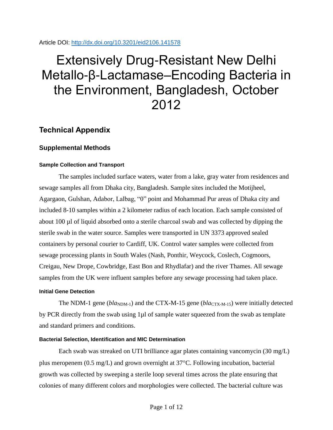#### Article DOI:<http://dx.doi.org/10.3201/eid2106.141578>

# Extensively Drug-Resistant New Delhi Metallo-β-Lactamase–Encoding Bacteria in the Environment, Bangladesh, October 2012

## **Technical Appendix**

### **Supplemental Methods**

#### **Sample Collection and Transport**

The samples included surface waters, water from a lake, gray water from residences and sewage samples all from Dhaka city, Bangladesh. Sample sites included the Motijheel, Agargaon, Gulshan, Adabor, Lalbag, "0" point and Mohammad Pur areas of Dhaka city and included 8-10 samples within a 2 kilometer radius of each location. Each sample consisted of about 100 µl of liquid absorbed onto a sterile charcoal swab and was collected by dipping the sterile swab in the water source. Samples were transported in UN 3373 approved sealed containers by personal courier to Cardiff, UK. Control water samples were collected from sewage processing plants in South Wales (Nash, Ponthir, Weycock, Coslech, Cogmoors, Creigau, New Drope, Cowbridge, East Bon and Rhydlafar) and the river Thames. All sewage samples from the UK were influent samples before any sewage processing had taken place.

#### **Initial Gene Detection**

The NDM-1 gene ( $bla_{NDM-1}$ ) and the CTX-M-15 gene ( $bla_{CTX-M-15}$ ) were initially detected by PCR directly from the swab using 1µl of sample water squeezed from the swab as template and standard primers and conditions.

#### **Bacterial Selection, Identification and MIC Determination**

Each swab was streaked on UTI brilliance agar plates containing vancomycin (30 mg/L) plus meropenem  $(0.5 \text{ mg/L})$  and grown overnight at  $37^{\circ}$ C. Following incubation, bacterial growth was collected by sweeping a sterile loop several times across the plate ensuring that colonies of many different colors and morphologies were collected. The bacterial culture was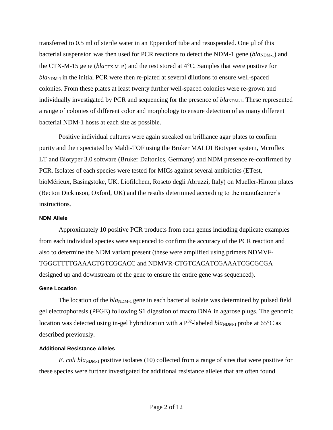transferred to 0.5 ml of sterile water in an Eppendorf tube and resuspended. One µl of this bacterial suspension was then used for PCR reactions to detect the NDM-1 gene ( $bla_{NDM-1}$ ) and the CTX-M-15 gene (*bla*CTX-M-15) and the rest stored at 4<sup>o</sup>C. Samples that were positive for  $bla<sub>NDM-1</sub>$  in the initial PCR were then re-plated at several dilutions to ensure well-spaced colonies. From these plates at least twenty further well-spaced colonies were re-grown and individually investigated by PCR and sequencing for the presence of *bla*<sub>NDM-1</sub>. These represented a range of colonies of different color and morphology to ensure detection of as many different bacterial NDM-1 hosts at each site as possible.

Positive individual cultures were again streaked on brilliance agar plates to confirm purity and then speciated by Maldi-TOF using the Bruker MALDI Biotyper system, Mcroflex LT and Biotyper 3.0 software (Bruker Daltonics, Germany) and NDM presence re-confirmed by PCR. Isolates of each species were tested for MICs against several antibiotics (ETest, bioMérieux, Basingstoke, UK. Liofilchem, Roseto degli Abruzzi, Italy) on Mueller-Hinton plates (Becton Dickinson, Oxford, UK) and the results determined according to the manufacturer's instructions.

#### **NDM Allele**

Approximately 10 positive PCR products from each genus including duplicate examples from each individual species were sequenced to confirm the accuracy of the PCR reaction and also to determine the NDM variant present (these were amplified using primers NDMVF-TGGCTTTTGAAACTGTCGCACC and NDMVR-CTGTCACATCGAAATCGCGCGA designed up and downstream of the gene to ensure the entire gene was sequenced).

#### **Gene Location**

The location of the *bla*<sub>NDM-1</sub> gene in each bacterial isolate was determined by pulsed field gel electrophoresis (PFGE) following S1 digestion of macro DNA in agarose plugs. The genomic location was detected using in-gel hybridization with a P<sup>32</sup>-labeled *bla*<sub>NDM-1</sub> probe at 65°C as described previously.

#### **Additional Resistance Alleles**

*E. coli bla*<sub>NDM-1</sub> positive isolates (10) collected from a range of sites that were positive for these species were further investigated for additional resistance alleles that are often found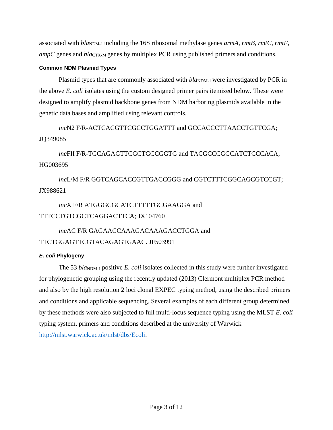associated with  $bla_{NDM-1}$  including the 16S ribosomal methylase genes *armA, rmtB, rmtC, rmtF, ampC* genes and *bla*<sub>CTX-M</sub> genes by multiplex PCR using published primers and conditions.

#### **Common NDM Plasmid Types**

Plasmid types that are commonly associated with  $bla_{NDM-1}$  were investigated by PCR in the above *E. coli* isolates using the custom designed primer pairs itemized below. These were designed to amplify plasmid backbone genes from NDM harboring plasmids available in the genetic data bases and amplified using relevant controls.

*inc*N2 F/R-ACTCACGTTCGCCTGGATTT and GCCACCCTTAACCTGTTCGA; JQ349085

*inc*FII F/R-TGCAGAGTTCGCTGCCGGTG and TACGCCCGGCATCTCCCACA; HG003695

*inc*L/M F/R GGTCAGCACCGTTGACCGGG and CGTCTTTCGGCAGCGTCCGT; JX988621

## *inc*X F/R ATGGGCGCATCTTTTTGCGAAGGA and TTTCCTGTCGCTCAGGACTTCA; JX104760

## *inc*AC F/R GAGAACCAAAGACAAAGACCTGGA and TTCTGGAGTTCGTACAGAGTGAAC. JF503991

#### *E. coli* **Phylogeny**

The 53 *bla*<sub>NDM-1</sub> positive *E. coli* isolates collected in this study were further investigated for phylogenetic grouping using the recently updated (2013) Clermont multiplex PCR method and also by the high resolution 2 loci clonal EXPEC typing method, using the described primers and conditions and applicable sequencing. Several examples of each different group determined by these methods were also subjected to full multi-locus sequence typing using the MLST *E. coli* typing system, primers and conditions described at the university of Warwick [http://mlst.warwick.ac.uk/mlst/dbs/Ecoli.](http://mlst.warwick.ac.uk/mlst/dbs/Ecoli)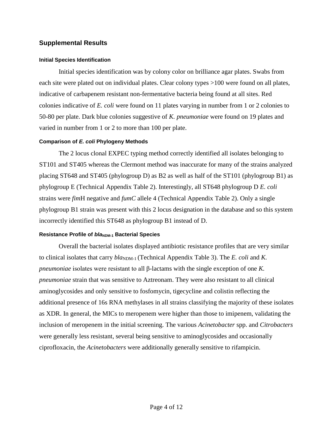#### **Supplemental Results**

#### **Initial Species Identification**

Initial species identification was by colony color on brilliance agar plates. Swabs from each site were plated out on individual plates. Clear colony types >100 were found on all plates, indicative of carbapenem resistant non-fermentative bacteria being found at all sites. Red colonies indicative of *E. coli* were found on 11 plates varying in number from 1 or 2 colonies to 50-80 per plate. Dark blue colonies suggestive of *K. pneumoniae* were found on 19 plates and varied in number from 1 or 2 to more than 100 per plate.

#### **Comparison of** *E. coli* **Phylogeny Methods**

The 2 locus clonal EXPEC typing method correctly identified all isolates belonging to ST101 and ST405 whereas the Clermont method was inaccurate for many of the strains analyzed placing ST648 and ST405 (phylogroup D) as B2 as well as half of the ST101 (phylogroup B1) as phylogroup E (Technical Appendix Table 2). Interestingly, all ST648 phylogroup D *E. coli* strains were *fim*H negative and *fumC* allele 4 (Technical Appendix Table 2). Only a single phylogroup B1 strain was present with this 2 locus designation in the database and so this system incorrectly identified this ST648 as phylogroup B1 instead of D.

#### **Resistance Profile of** *bla***<sub>NDM-1</sub> Bacterial Species**

Overall the bacterial isolates displayed antibiotic resistance profiles that are very similar to clinical isolates that carry  $bla_{NDM-1}$  (Technical Appendix Table 3). The *E. coli* and *K. pneumoniae* isolates were resistant to all β-lactams with the single exception of one *K. pneumoniae* strain that was sensitive to Aztreonam. They were also resistant to all clinical aminoglycosides and only sensitive to fosfomycin, tigecycline and colistin reflecting the additional presence of 16s RNA methylases in all strains classifying the majority of these isolates as XDR. In general, the MICs to meropenem were higher than those to imipenem, validating the inclusion of meropenem in the initial screening. The various *Acinetobacter* spp. and *Citrobacters*  were generally less resistant, several being sensitive to aminoglycosides and occasionally ciprofloxacin, the *Acinetobacters* were additionally generally sensitive to rifampicin.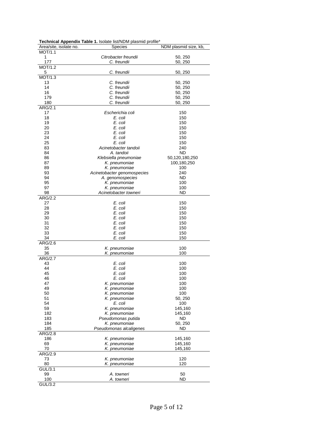| Area/site, isolate no.      | Species                     | NDM plasmid size, kb, |  |  |  |  |  |  |
|-----------------------------|-----------------------------|-----------------------|--|--|--|--|--|--|
| <b>MOT/1.1</b>              |                             |                       |  |  |  |  |  |  |
| 1                           | Citrobacter freundii        | 50, 250               |  |  |  |  |  |  |
| 177                         | C. freundii                 | 50, 250               |  |  |  |  |  |  |
| <b>MOT/1.2</b>              |                             |                       |  |  |  |  |  |  |
| 5                           | C. freundii                 | 50, 250               |  |  |  |  |  |  |
| MOT/1.3                     |                             |                       |  |  |  |  |  |  |
| 13                          | C. freundii                 | 50, 250               |  |  |  |  |  |  |
| 14                          | C. freundii                 | 50, 250               |  |  |  |  |  |  |
| 16                          | C. freundii                 | 50, 250               |  |  |  |  |  |  |
| 179                         | C. freundii                 | 50, 250               |  |  |  |  |  |  |
| 180                         | C. freundii                 | 50, 250               |  |  |  |  |  |  |
| ARG/2.1                     |                             |                       |  |  |  |  |  |  |
| 17                          | Escherichia coli            | 150                   |  |  |  |  |  |  |
| 18                          | E. coli                     | 150                   |  |  |  |  |  |  |
| 19                          | E. coli                     | 150                   |  |  |  |  |  |  |
| 20                          | E. coli                     | 150                   |  |  |  |  |  |  |
| 23                          | E. coli                     | 150                   |  |  |  |  |  |  |
| 24                          | E. coli                     | 150                   |  |  |  |  |  |  |
| 25                          | E. coli                     | 150                   |  |  |  |  |  |  |
| 83                          | Acinetobacter tandoii       | 240                   |  |  |  |  |  |  |
| 84                          |                             | ND                    |  |  |  |  |  |  |
| 86                          | A. tandoii                  |                       |  |  |  |  |  |  |
| 87                          | Klebsiella pneumoniae       | 50,120,180,250        |  |  |  |  |  |  |
| 89                          | K. pneumoniae               | 100,180,250           |  |  |  |  |  |  |
|                             | K. pneumoniae               | 100                   |  |  |  |  |  |  |
| 93                          | Acinetobacter genomospecies | 240                   |  |  |  |  |  |  |
| 94                          | A. genomospecies            | ND                    |  |  |  |  |  |  |
| 95                          | K. pneumoniae               | 100                   |  |  |  |  |  |  |
| 97                          | K. pneumoniae               | 100                   |  |  |  |  |  |  |
| 98                          | Acinetobacter towneri       | <b>ND</b>             |  |  |  |  |  |  |
| ARG/2.2                     |                             |                       |  |  |  |  |  |  |
| 27                          | E. coli                     | 150                   |  |  |  |  |  |  |
| 28                          | E. coli                     | 150                   |  |  |  |  |  |  |
| 29                          | E. coli                     | 150                   |  |  |  |  |  |  |
| 30                          | E. coli                     | 150                   |  |  |  |  |  |  |
| 31                          | E. coli                     | 150                   |  |  |  |  |  |  |
| 32                          | E. coli                     | 150                   |  |  |  |  |  |  |
| 33                          | E. coli                     | 150                   |  |  |  |  |  |  |
| 34                          | E. coli                     | 150                   |  |  |  |  |  |  |
| $\overline{\text{ARG}/2.6}$ |                             |                       |  |  |  |  |  |  |
| 35                          | K. pneumoniae               | 100                   |  |  |  |  |  |  |
| 36                          | K. pneumoniae               | 100                   |  |  |  |  |  |  |
| ARG/2.7                     |                             |                       |  |  |  |  |  |  |
| 43                          | E. coli                     | 100                   |  |  |  |  |  |  |
| 44                          | E. coli                     | 100                   |  |  |  |  |  |  |
| 45                          | E. coli                     | 100                   |  |  |  |  |  |  |
| 46                          | E. coli                     | 100                   |  |  |  |  |  |  |
| 47                          | K. pneumoniae               | 100                   |  |  |  |  |  |  |
| 49                          | K. pneumoniae               | 100                   |  |  |  |  |  |  |
| 50                          | K. pneumoniae               | 100                   |  |  |  |  |  |  |
| 51                          | K. pneumoniae               | 50, 250               |  |  |  |  |  |  |
| 54                          | E. coli                     | 100                   |  |  |  |  |  |  |
| 59                          | K. pneumoniae               | 145,160               |  |  |  |  |  |  |
| 182                         | K. pneumoniae               | 145,160               |  |  |  |  |  |  |
| 183                         | Pseudomonas putida          | <b>ND</b>             |  |  |  |  |  |  |
| 184                         | K. pneumoniae               | 50, 250               |  |  |  |  |  |  |
| 185                         | Pseudomonas alcaligenes     | ND                    |  |  |  |  |  |  |
| ARG/2.8                     |                             |                       |  |  |  |  |  |  |
| 186                         | K. pneumoniae               | 145,160               |  |  |  |  |  |  |
| 69                          |                             | 145,160               |  |  |  |  |  |  |
|                             | K. pneumoniae               | 145,160               |  |  |  |  |  |  |
| 70                          | K. pneumoniae               |                       |  |  |  |  |  |  |
| ARG/2.9                     |                             |                       |  |  |  |  |  |  |
| 73                          | K. pneumoniae               | 120                   |  |  |  |  |  |  |
| 80                          | K. pneumoniae               | 120                   |  |  |  |  |  |  |
| GUL/3.1                     |                             |                       |  |  |  |  |  |  |
| 99                          | A. towneri                  | 50                    |  |  |  |  |  |  |
| 100                         | A. towneri                  | ND                    |  |  |  |  |  |  |
| GUL/3.2                     |                             |                       |  |  |  |  |  |  |

#### **Technical Appendix Table 1.** Isolate list/NDM plasmid profile\*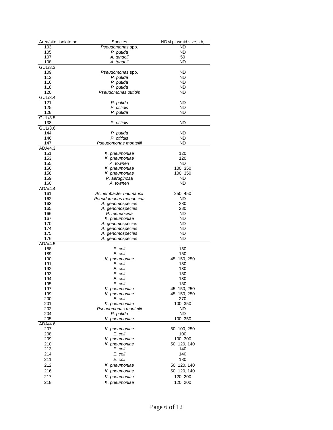| Area/site, isolate no. | Species                 | NDM plasmid size, kb, |
|------------------------|-------------------------|-----------------------|
| 103                    | Pseudomonas spp.        | ND                    |
| 105                    | P. putida               | ND                    |
| 107                    | A. tandoii              | 50                    |
| 108                    | A. tandoii              | ND                    |
| GUL/3.3                |                         |                       |
| 109                    | Pseudomonas spp.        | ND                    |
| 112                    | P. putida               | ND                    |
| 116                    | P. putida               | ND                    |
| 118                    | P. putida               | ND                    |
| 120                    | Pseudomonas otitidis    | ND                    |
| GUL/3.4                |                         |                       |
| 121                    | P. putida               | ND                    |
| 125                    | P. otitidis             | ND                    |
| 128                    | P. putida               | ND                    |
| GUL/3.5                |                         |                       |
| 138                    | P. otitidis             | ND                    |
| GUL/3.6                |                         |                       |
| 144                    | P. putida               | ND                    |
| 146                    | P. otitidis             | ND                    |
| 147                    | Pseudomonas monteilii   | <b>ND</b>             |
| ADA/4.3                |                         |                       |
| 151                    | K. pneumoniae           | 120                   |
| 153                    | K. pneumoniae           | 120                   |
| 155                    | A. towneri              | ND                    |
| 156                    | K. pneumoniae           | 100, 350              |
| 158                    | K. pneumoniae           | 100, 350              |
| 159                    | P. aeruginosa           | ND                    |
| 160                    | A. towneri              | ND                    |
| ADA/4.4                |                         |                       |
| 161                    | Acinetobacter baumannii | 250, 450              |
| 162                    | Pseudomonas mendocina   | ND                    |
| 163                    | A. genomospecies        | 280                   |
| 165                    | A. genomospecies        | 280                   |
| 166                    | P. mendocina            | ND                    |
| 167                    | K. pneumoniae           | ND                    |
| 170                    | A. genomospecies        | ND                    |
| 174                    | A. genomospecies        | ND                    |
| 175                    | A. genomospecies        | ND                    |
| 176                    | A. genomospecies        | ND                    |
| ADA/4.5                |                         |                       |
| 188                    |                         |                       |
| 189                    | E. coli<br>E. coli      | 150<br>150            |
|                        |                         |                       |
| 190                    | K. pneumoniae           | 45, 150, 250          |
| 191                    | E. coli                 | 130                   |
| 192                    | E. coli<br>E. coli      | 130                   |
| 193                    |                         | 130                   |
| 194                    | E. coli                 | 130                   |
| 195                    | E. coli                 | 130<br>45, 150, 250   |
| 197<br>199             | K. pneumoniae           |                       |
|                        | K. pneumoniae           | 45, 150, 250          |
| 200                    | E. coli                 | 270                   |
| 201                    | K. pneumoniae           | 100, 350              |
| 202                    | Pseudomonas monteilii   | ND                    |
| 204                    | P. putida               | ND                    |
| 205                    | K. pneumoniae           | 100, 350              |
| ADA/4.6                |                         |                       |
| 207                    | K. pneumoniae           | 50, 100, 250          |
| 208                    | E. coli                 | 100                   |
| 209                    | K. pneumoniae           | 100, 300              |
| 210                    | K. pneumoniae           | 50, 120, 140          |
| 213                    | E. coli                 | 140                   |
| 214                    | E. coli                 | 140                   |
| 211                    | E. coli                 | 130                   |
| 212                    | K. pneumoniae           | 50, 120, 140          |
| 216                    | K. pneumoniae           | 50, 120, 140          |
| 217                    | K. pneumoniae           | 120, 200              |
| 218                    | K. pneumoniae           | 120, 200              |
|                        |                         |                       |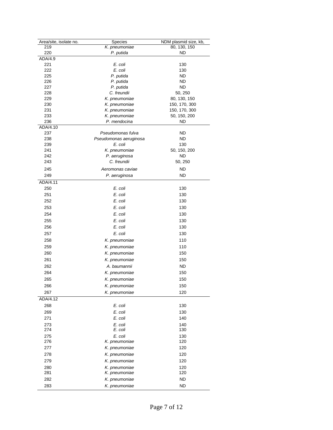| Area/site, isolate no. | Species                | NDM plasmid size, kb, |
|------------------------|------------------------|-----------------------|
| 219                    | K. pneumoniae          | 80, 130, 150          |
| 220                    | P. putida              | ND                    |
| ADA/4.9                |                        |                       |
| 221                    | E. coli                | 130                   |
| 222                    | E. coli                | 130                   |
| 225                    | P. putida              | ND                    |
| 226                    | P. putida              | ND                    |
| 227                    | P. putida              | <b>ND</b>             |
| 228                    | C. freundii            | 50, 250               |
| 229                    | K. pneumoniae          | 80, 130, 150          |
| 230                    | K. pneumoniae          | 150, 170, 300         |
| 231                    | K. pneumoniae          | 150, 170, 300         |
| 233                    | K. pneumoniae          | 50, 150, 200          |
| 236                    | P. mendocina           | ND                    |
| ADA/4.10               |                        |                       |
| 237                    | Pseudomonas fulva      | ND                    |
| 238                    | Pseudomonas aeruginosa | ND                    |
| 239                    | E. coli                | 130                   |
| 241                    | K. pneumoniae          | 50, 150, 200          |
| 242                    | P. aeruginosa          | ND                    |
| 243                    | C. freundii            | 50, 250               |
|                        |                        |                       |
| 245                    | Aeromonas caviae       | ND                    |
| 249                    | P. aeruginosa          | ND                    |
| ADA/4.11               |                        |                       |
| 250                    | E. coli                | 130                   |
| 251                    | E. coli                | 130                   |
| 252                    | E. coli                | 130                   |
| 253                    | E. coli                |                       |
|                        |                        | 130                   |
| 254                    | E. coli                | 130                   |
| 255                    | E. coli                | 130                   |
| 256                    | E. coli                | 130                   |
| 257                    | E. coli                | 130                   |
| 258                    | K. pneumoniae          | 110                   |
| 259                    | K. pneumoniae          | 110                   |
|                        |                        |                       |
| 260                    | K. pneumoniae          | 150                   |
| 261                    | K. pneumoniae          | 150                   |
| 262                    | A. baumannii           | <b>ND</b>             |
| 264                    | K. pneumoniae          | 150                   |
| 265                    | K. pneumoniae          | 150                   |
| 266                    | K. pneumoniae          | 150                   |
| 267                    |                        | 120                   |
|                        | K. pneumoniae          |                       |
| ADA/4.12               |                        |                       |
| 268                    | E. coli                | 130                   |
| 269                    | E. coli                | 130                   |
| 271                    | E. coli                | 140                   |
| 273                    | E. coli                | 140                   |
| 274                    | E. coli                | 130                   |
| 275                    | E. coli                | 130                   |
| 276                    | K. pneumoniae          | 120                   |
| 277                    | K. pneumoniae          | 120                   |
|                        |                        |                       |
| 278                    | K. pneumoniae          | 120                   |
| 279                    | K. pneumoniae          | 120                   |
| 280                    | K. pneumoniae          | 120                   |
| 281                    | K. pneumoniae          | 120                   |
| 282                    | K. pneumoniae          | <b>ND</b>             |
| 283                    | K. pneumoniae          | <b>ND</b>             |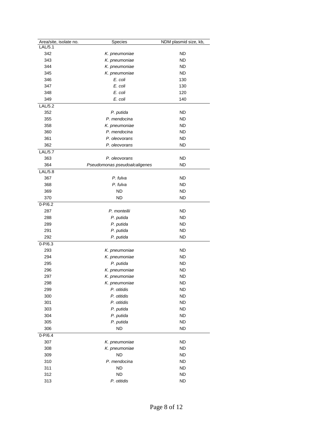| Area/site, isolate no. | Species                       | NDM plasmid size, kb, |
|------------------------|-------------------------------|-----------------------|
| LAL/5.1                |                               |                       |
| 342                    | K. pneumoniae                 | ND                    |
| 343                    | K. pneumoniae                 | ND                    |
| 344                    | K. pneumoniae                 | ND                    |
| 345                    | K. pneumoniae                 | ND                    |
| 346                    | E. coli                       | 130                   |
| 347                    | E. coli                       | 130                   |
| 348                    | E. coli                       | 120                   |
| 349                    | E. coli                       | 140                   |
| AL/5.2                 |                               |                       |
| 352                    | P. putida                     | ND                    |
| 355                    | P. mendocina                  | ND                    |
| 358                    | K. pneumoniae                 | ND                    |
| 360                    | P. mendocina                  | ND                    |
| 361                    | P. oleovorans                 | ND                    |
| 362                    |                               | ND                    |
| <b>LAL/5.7</b>         | P. oleovorans                 |                       |
|                        |                               |                       |
| 363                    | P. oleovorans                 | ND                    |
| 364                    | Pseudomonas pseudoalcaligenes | ND                    |
| LAL/5.8                |                               |                       |
| 367                    | P. fulva                      | ND                    |
| 368                    | P. fulva                      | ND                    |
| 369                    | ND                            | ND                    |
| 370                    | ND                            | ND                    |
| $0 - P/6.2$            |                               |                       |
| 287                    | P. monteilii                  | ND                    |
| 288                    | P. putida                     | ND                    |
| 289                    | P. putida                     | ND                    |
| 291                    | P. putida                     | ND                    |
| 292                    | P. putida                     | <b>ND</b>             |
| $0 - P/6.3$            |                               |                       |
| 293                    | K. pneumoniae                 | ND                    |
| 294                    | K. pneumoniae                 | ND                    |
| 295                    | P. putida                     | ND                    |
| 296                    | K. pneumoniae                 | ND                    |
| 297                    | K. pneumoniae                 | ND                    |
| 298                    | K. pneumoniae                 | ND                    |
| 299                    | P. otitidis                   | <b>ND</b>             |
| 300                    | P. otitidis                   | <b>ND</b>             |
| 301                    | P. otitidis                   | <b>ND</b>             |
| 303                    | P. putida                     | <b>ND</b>             |
| 304                    | P. putida                     | <b>ND</b>             |
| 305                    | P. putida                     | <b>ND</b>             |
| 306                    | <b>ND</b>                     | <b>ND</b>             |
| $0 - P/6.4$            |                               |                       |
| 307                    | K. pneumoniae                 | <b>ND</b>             |
| 308                    | K. pneumoniae                 | <b>ND</b>             |
|                        | <b>ND</b>                     |                       |
| 309                    |                               | <b>ND</b>             |
| 310                    | P. mendocina                  | <b>ND</b>             |
| 311                    | <b>ND</b>                     | <b>ND</b>             |
| 312                    | <b>ND</b>                     | <b>ND</b>             |
| 313                    | P. otitidis                   | <b>ND</b>             |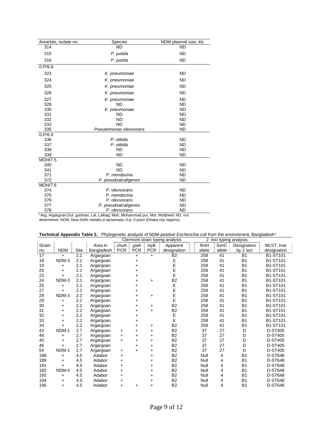| Area/site, isolate no. | <b>Species</b>         | NDM plasmid size, kb, |
|------------------------|------------------------|-----------------------|
| 314                    | <b>ND</b>              | <b>ND</b>             |
| 315                    | P. putida              | <b>ND</b>             |
| 316                    | P. putida              | <b>ND</b>             |
| $0 - P/6.8$            |                        |                       |
| 323                    | K. pneumoniae          | <b>ND</b>             |
| 324                    | K. pneumoniae          | <b>ND</b>             |
| 325                    | K. pneumoniae          | <b>ND</b>             |
| 326                    | K. pneumoniae          | <b>ND</b>             |
| 327                    | K. pneumoniae          | <b>ND</b>             |
| 328                    | <b>ND</b>              | <b>ND</b>             |
| 330                    | K. pneumoniae          | <b>ND</b>             |
| 331                    | <b>ND</b>              | <b>ND</b>             |
| 332                    | <b>ND</b>              | <b>ND</b>             |
| 333                    | <b>ND</b>              | <b>ND</b>             |
| 335                    | Pseudomonas oleovorans | <b>ND</b>             |
| $0 - P/6.9$            |                        |                       |
| 336                    | P. otitidis            | <b>ND</b>             |
| 337                    | P. otitidis            | <b>ND</b>             |
| 338                    | <b>ND</b>              | <b>ND</b>             |
| 339                    | <b>ND</b>              | <b>ND</b>             |
| <b>MOH/7.5</b>         |                        |                       |
| 340                    | <b>ND</b>              | <b>ND</b>             |
| 341                    | <b>ND</b>              | <b>ND</b>             |
| 371                    | P. mendocina           | <b>ND</b>             |
| 372                    | P. pseudoalcaligenes   | <b>ND</b>             |
| MOH/7.6                |                        |                       |
| 374                    | P. oleovorans          | <b>ND</b>             |
| 375                    | P. mendocina           | <b>ND</b>             |
| 376                    | P. oleovorans          | <b>ND</b>             |
| 377                    | P. pseudoalcaligenes   | <b>ND</b>             |
| 378                    | P. oleovorans          | <b>ND</b>             |

\*Arg, Argargoan;Gul, gulshan; Lal, Lalbag; Moh, Mohammad pur; Mot, Motijheel; ND, not determined; NDM, New Delhi metallo-ß-lactamase; 0-p, 0 point (Dhaka city regions).

|  | Technical Appendix Table 2. Phylogenetic analysis of NDM-positive Escherichia coli from the environment, Bangladesh* |  |
|--|----------------------------------------------------------------------------------------------------------------------|--|
|  |                                                                                                                      |  |

|               |            |      |            |            |            |            | Clermont strain typing analysis |  |        | 2 - loci typing analysis |                |                 |
|---------------|------------|------|------------|------------|------------|------------|---------------------------------|--|--------|--------------------------|----------------|-----------------|
| <b>Strain</b> |            |      | Area in    | chuA       | yjaA       | $t$ sp $E$ | Apparent                        |  | fimH   | fumC                     | Designation    | MLST, true      |
| no.           | <b>NDM</b> | Site | Bangladesh | <b>PCR</b> | <b>PCR</b> | <b>PCR</b> | designation                     |  | allele | allele                   | by 2 loci      | designation     |
| 17            | $\ddot{}$  | 2.1  | Argargoan  |            | $\ddot{}$  | $\ddot{}$  | B <sub>2</sub>                  |  | 258    | 41                       | <b>B1</b>      | <b>B1-ST101</b> |
| 18            | NDM-3      | 2.1  | Argargoan  |            | $\ddot{}$  |            | E                               |  | 258    | 41                       | <b>B1</b>      | B1-ST101        |
| 19            | $\ddot{}$  | 2.1  | Argargoan  |            | $\ddot{}$  |            | E<br>E                          |  | 258    | 41                       | <b>B1</b>      | B1-ST101        |
| 20            | $+$        | 2.1  | Argargoan  |            | $\ddot{}$  |            |                                 |  | 258    | 41                       | <b>B1</b>      | B1-ST101        |
| 23            | $+$        | 2.1  | Argargoan  |            | +          |            | E                               |  | 258    | 41                       | <b>B1</b>      | <b>B1-ST101</b> |
| 24            | NDM-3      | 2.1  | Argargoan  |            | $\ddot{}$  | +          | <b>B2</b>                       |  | 258    | 41                       | <b>B1</b>      | B1-ST101        |
| 25            | $\ddot{}$  | 2.1  | Argargoan  |            | $\ddot{}$  |            | E                               |  | 258    | 41                       | <b>B1</b>      | <b>B1-ST101</b> |
| 27            | $\ddot{}$  | 2.2  | Argargoan  |            | $\ddot{}$  |            | E                               |  | 258    | 41                       | <b>B1</b>      | B1-ST101        |
| 28            | NDM-3      | 2.2  | Argargoan  |            | $\ddot{}$  | +          | E                               |  | 258    | 41                       | B <sub>1</sub> | <b>B1-ST101</b> |
| 29            | $\ddot{}$  | 2.2  | Argargoan  |            | $\ddot{}$  |            | E                               |  | 258    | 41                       | <b>B1</b>      | <b>B1-ST101</b> |
| 30            | $\ddot{}$  | 2.2  | Argargoan  |            | $\ddot{}$  | +          | B <sub>2</sub>                  |  | 258    | 41                       | <b>B1</b>      | <b>B1-ST101</b> |
| 31            | $\ddot{}$  | 2.2  | Argargoan  |            | $\ddot{}$  | $+$        | <b>B2</b>                       |  | 258    | 41                       | <b>B1</b>      | <b>B1-ST101</b> |
| 32            | $\ddot{}$  | 2.2  | Argargoan  |            | $\ddot{}$  |            | E                               |  | 258    | 41                       | <b>B1</b>      | <b>B1-ST101</b> |
| 33            | $\ddot{}$  | 2.2  | Argargoan  |            | $\ddot{}$  |            | E                               |  | 258    | 41                       | <b>B1</b>      | <b>B1-ST101</b> |
| 34            | $\ddot{}$  | 2.2  | Argargoan  |            | $\ddot{}$  | +          | <b>B2</b>                       |  | 258    | 41                       | <b>B1</b>      | B1-ST101        |
| 43            | NDM-1      | 2.7  | Argargoan  | ÷          | $\ddot{}$  | $+$        | B <sub>2</sub>                  |  | 37     | 27                       | D              | <b>D-ST405</b>  |
| 44            | $\ddot{}$  | 2.7  | Argargoan  | +          | $\ddot{}$  | +          | <b>B2</b>                       |  | 37     | 27                       | D              | <b>D-ST405</b>  |
| 45            | $+$        | 2.7  | Argargoan  | $\ddot{}$  | $\ddot{}$  | +          | <b>B2</b>                       |  | 37     | 27                       | D              | D-ST405         |
| 46            | $\ddot{}$  | 2.7  | Argargoan  |            | $\ddot{}$  | $\ddot{}$  | <b>B2</b>                       |  | 37     | 27                       | D              | <b>D-ST405</b>  |
| 54            | NDM-1      | 2.7  | Argargoan  | +          | $+$        | +          | B <sub>2</sub>                  |  | 37     | 27                       | D              | D-ST405         |
| 188           | $\ddot{}$  | 4.5  | Adabor     | +          |            | $\ddot{}$  | <b>B2</b>                       |  | Null   | 4                        | <b>B1</b>      | <b>D-ST648</b>  |
| 189           | $+$        | 4.5  | Adabor     | +          |            | +          | B <sub>2</sub>                  |  | Null   | 4                        | <b>B1</b>      | <b>D-ST648</b>  |
| 191           | $\ddot{}$  | 4.5  | Adabor     | +          |            | +          | <b>B2</b>                       |  | Null   | 4                        | <b>B1</b>      | <b>D-ST648</b>  |
| 192           | NDM-4      | 4.5  | Adabor     | +          |            | +          | B <sub>2</sub>                  |  | Null   | 4                        | <b>B1</b>      | D-ST648         |
| 193           | $\ddot{}$  | 4.5  | Adabor     | +          |            | +          | <b>B2</b>                       |  | Null   | 4                        | <b>B1</b>      | <b>D-ST648</b>  |
| 194           | +          | 4.5  | Adabor     | +          |            | +          | B <sub>2</sub>                  |  | Null   | 4                        | <b>B1</b>      | D-ST648         |
| 195           | $+$        | 4.5  | Adabor     | +          | $\ddot{}$  | $\ddot{}$  | <b>B2</b>                       |  | Null   | 4                        | B <sub>1</sub> | <b>D-ST648</b>  |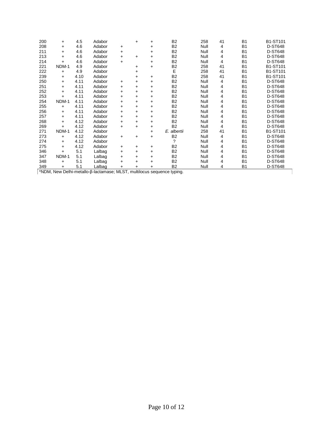| 200 | $\ddot{}$                                                              | 4.5  | Adabor |           | $\ddot{}$ | +         | <b>B2</b>      | 258  | 41 | <b>B1</b>      | B1-ST101       |  |
|-----|------------------------------------------------------------------------|------|--------|-----------|-----------|-----------|----------------|------|----|----------------|----------------|--|
| 208 | $\ddot{}$                                                              | 4.6  | Adabor |           |           | $\ddot{}$ | B <sub>2</sub> | Null | 4  | <b>B1</b>      | <b>D-ST648</b> |  |
|     |                                                                        |      |        | $\ddot{}$ |           |           |                |      |    |                |                |  |
| 211 | $\ddot{}$                                                              | 4.6  | Adabor | +         |           | $\ddot{}$ | B <sub>2</sub> | Null | 4  | B <sub>1</sub> | <b>D-ST648</b> |  |
| 213 | $\ddot{}$                                                              | 4.6  | Adabor | $\ddot{}$ | $\ddot{}$ | $\ddot{}$ | B <sub>2</sub> | Null | 4  | <b>B1</b>      | <b>D-ST648</b> |  |
| 214 | $+$                                                                    | 4.6  | Adabor | $\ddot{}$ |           | $\ddot{}$ | B <sub>2</sub> | Null | 4  | <b>B1</b>      | <b>D-ST648</b> |  |
| 221 | NDM-1                                                                  | 4.9  | Adabor |           | +         | $\ddot{}$ | B <sub>2</sub> | 258  | 41 | <b>B1</b>      | B1-ST101       |  |
| 222 | $\ddot{}$                                                              | 4.9  | Adabor |           | $\ddot{}$ |           | E              | 258  | 41 | <b>B1</b>      | B1-ST101       |  |
| 239 | $\ddot{}$                                                              | 4.10 | Adabor |           | $\ddot{}$ | $\ddot{}$ | <b>B2</b>      | 258  | 41 | <b>B1</b>      | B1-ST101       |  |
| 250 | $\ddot{}$                                                              | 4.11 | Adabor | $\ddot{}$ | $\ddot{}$ | +         | B <sub>2</sub> | Null | 4  | <b>B1</b>      | <b>D-ST648</b> |  |
| 251 | $\ddot{}$                                                              | 4.11 | Adabor | $\ddot{}$ | $+$       | $\ddot{}$ | <b>B2</b>      | Null | 4  | <b>B1</b>      | <b>D-ST648</b> |  |
| 252 | $\ddot{}$                                                              | 4.11 | Adabor | $\ddot{}$ | $\ddot{}$ | +         | <b>B2</b>      | Null | 4  | <b>B1</b>      | <b>D-ST648</b> |  |
| 253 | $\ddot{}$                                                              | 4.11 | Adabor | $\ddot{}$ | $\ddot{}$ | $+$       | B <sub>2</sub> | Null | 4  | B <sub>1</sub> | <b>D-ST648</b> |  |
| 254 | NDM-1                                                                  | 4.11 | Adabor | $\ddot{}$ | $\ddot{}$ | $\ddot{}$ | B <sub>2</sub> | Null | 4  | <b>B1</b>      | <b>D-ST648</b> |  |
| 255 | $\ddot{}$                                                              | 4.11 | Adabor | $\ddot{}$ | $\ddot{}$ | $\ddot{}$ | B <sub>2</sub> | Null | 4  | <b>B1</b>      | <b>D-ST648</b> |  |
| 256 | $\ddot{}$                                                              | 4.11 | Adabor | $\ddot{}$ | $\ddot{}$ | $\ddot{}$ | <b>B2</b>      | Null | 4  | <b>B1</b>      | <b>D-ST648</b> |  |
| 257 | $\ddot{}$                                                              | 4.11 | Adabor | $\ddot{}$ | $\ddot{}$ | +         | B <sub>2</sub> | Null | 4  | <b>B1</b>      | <b>D-ST648</b> |  |
| 268 | $+$                                                                    | 4.12 | Adabor | $\ddot{}$ | $+$       | $+$       | B <sub>2</sub> | Null | 4  | B <sub>1</sub> | <b>D-ST648</b> |  |
| 269 | $\ddot{}$                                                              | 4.12 | Adabor | $\ddot{}$ | $\ddot{}$ | $\ddot{}$ | B <sub>2</sub> | Null | 4  | <b>B1</b>      | <b>D-ST648</b> |  |
| 271 | NDM-1                                                                  | 4.12 | Adabor |           |           | +         | E. albertii    | 258  | 41 | B <sub>1</sub> | B1-ST101       |  |
| 273 | $\ddot{}$                                                              | 4.12 | Adabor | $\ddot{}$ | $\ddot{}$ | $\ddot{}$ | B <sub>2</sub> | Null | 4  | <b>B1</b>      | <b>D-ST648</b> |  |
| 274 | $\ddot{}$                                                              | 4.12 | Adabor |           |           |           | $\gamma$       | Null | 4  | <b>B1</b>      | <b>D-ST648</b> |  |
| 275 | $\ddot{}$                                                              | 4.12 | Adabor | $\ddot{}$ | $\ddot{}$ | $\ddot{}$ | <b>B2</b>      | Null | 4  | B <sub>1</sub> | <b>D-ST648</b> |  |
| 346 | $\ddot{}$                                                              | 5.1  | Lalbag | $\ddot{}$ | $\ddot{}$ | $\ddot{}$ | B <sub>2</sub> | Null | 4  | B <sub>1</sub> | <b>D-ST648</b> |  |
| 347 | NDM-1                                                                  | 5.1  | Lalbag | $\ddot{}$ | $\ddot{}$ | $\ddot{}$ | B <sub>2</sub> | Null | 4  | <b>B1</b>      | <b>D-ST648</b> |  |
| 348 | $\ddot{}$                                                              | 5.1  | Lalbag | $\ddot{}$ | $\ddot{}$ | $\ddot{}$ | <b>B2</b>      | Null | 4  | <b>B1</b>      | <b>D-ST648</b> |  |
| 349 | $\ddot{}$                                                              | 5.1  | Lalbag | +         | +         | +         | B <sub>2</sub> | Null | 4  | B <sub>1</sub> | <b>D-ST648</b> |  |
|     | *NDM, New Delhi-metallo-β-lactamase; MLST, multilocus sequence typing. |      |        |           |           |           |                |      |    |                |                |  |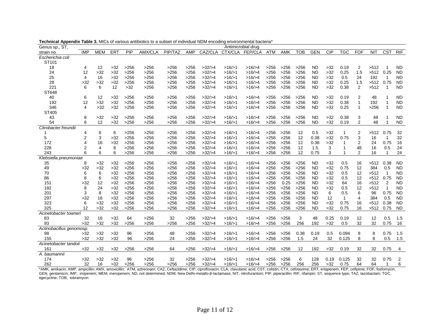| Genus sp., ST,           |                |            |       |      |                |         |      |         |         | Antimicrobial drug |            |            |            |            |            |              |                |             |                          |                |
|--------------------------|----------------|------------|-------|------|----------------|---------|------|---------|---------|--------------------|------------|------------|------------|------------|------------|--------------|----------------|-------------|--------------------------|----------------|
| strain no.               | <b>IMP</b>     | <b>MEM</b> | ERT   | PIP  | <b>AMX/CLA</b> | PIP/TAZ | AMP  | CAZ/CLA | CTX/CLA | <b>FEP/CLA</b>     | <b>ATM</b> | <b>AMK</b> | <b>TOB</b> | <b>GEN</b> | <b>CIP</b> | TGC          | <b>FOF</b>     | <b>NIT</b>  | <b>CST</b>               | RIF            |
| Escherichia coli         |                |            |       |      |                |         |      |         |         |                    |            |            |            |            |            |              |                |             |                          |                |
| ST101                    |                |            |       |      |                |         |      |         |         |                    |            |            |            |            |            |              |                |             |                          |                |
| 18                       | 4              | 12         | $>32$ | >256 | >256           | >256    | >256 | >32/>4  | >16/>1  | >16/>4             | >256       | >256       | >256       | <b>ND</b>  | $>32$      | 0.19         | 2              | >512        |                          | <b>ND</b>      |
| 24                       | 12             | $>32$      | $>32$ | >256 | >256           | >256    | >256 | >32/>4  | >16/>1  | >16/>4             | >256       | >256       | >256       | <b>ND</b>  | $>32$      | 0.25         | 1.5            | >512        | 0.25                     | <b>ND</b>      |
| 25                       | 4              | 16         | $>32$ | >256 | >256           | >256    | >256 | >32/>4  | >16/>1  | >16/>4             | >256       | >256       | >256       | <b>ND</b>  | $>32$      | 0.5          | 24             | 192         | $\overline{1}$           | <b>ND</b>      |
| 28                       | >32            | $>32$      | $>32$ | >256 | >256           | >256    | >256 | >32/>4  | >16/>1  | >16/>4             | >256       | >256       | >256       | <b>ND</b>  | $>32$      | 0.25         | 1.5            | >512        | 0.75                     | <b>ND</b>      |
| 221                      | 6              | 6          | 12    | >32  | >256           | >256    | >256 | >32/>4  | >16/>1  | >16/>4             | >256       | >256       | >256       | <b>ND</b>  | $>32$      | 0.38         | 2              | >512        | -1                       | <b>ND</b>      |
| ST648                    |                |            |       |      |                |         |      |         |         |                    |            |            |            |            |            |              |                |             |                          |                |
| 40                       | 6              | 12         | $>32$ | >256 | >256           | >256    | >256 | >32/>4  | >16/>1  | >16/>4             | >256       | >256       | >256       | <b>ND</b>  | $>32$      | 0.19         | 2              | 48          |                          | <b>ND</b>      |
| 192                      | 12             | $>32$      | $>32$ | >256 | >256           | >256    | >256 | >32/>4  | >16/>1  | >16/>4             | >256       | >256       | >256       | <b>ND</b>  | $>32$      | 0.38         | 1              | 192         |                          | <b>ND</b>      |
| 346                      | 4              | $>32$      | $>32$ | >256 | >256           | >256    | >256 | >32/>4  | >16/>1  | >16/>4             | >256       | >256       | >256       | <b>ND</b>  | $>32$      | 0.25         | $\mathbf{1}$   | >256        | $\overline{\mathbf{1}}$  | <b>ND</b>      |
| ST405                    |                |            |       |      |                |         |      |         |         |                    |            |            |            |            |            |              |                |             |                          |                |
| 43                       | 8              | $>32$      | $>32$ | >256 | >256           | >256    | >256 | >32/>4  | >16/>1  | >16/>4             | >256       | >256       | >256       | <b>ND</b>  | $>32$      | 0.38         | 3              | 48          |                          | <b>ND</b>      |
| 54                       | 6              | 12         | $>32$ | >256 | >256           | >256    | >256 | >32/>4  | >16/>1  | >16/>4             | >256       | >256       | >256       | <b>ND</b>  | $>32$      | 0.19         | 2              | 48          | $\overline{\phantom{a}}$ | <b>ND</b>      |
| Citrobacter freundii     |                |            |       |      |                |         |      |         |         |                    |            |            |            |            |            |              |                |             |                          |                |
|                          | 4              | 6          | 6     | >256 | >256           | >256    | >256 | >32/>4  | >16/>1  | >16/>4             | >256       | >256       | 12         | 0.5        | $>32$      | $\mathbf{1}$ | 2              | >512        | 0.75                     | 32             |
| 5                        | $\overline{2}$ | 3          | $>32$ | >256 | >256           | >256    | >256 | >32/>4  | >16/>1  | >16/>4             | >256       | >256       | 12         | 0.38       | >32        | 0.75         | 3              | 16          | $\mathbf 1$              | 32             |
| 172                      |                | 16         | $>32$ | >256 | >256           | >256    | >256 | >32/>4  | >16/>1  | >16/>4             | >256       | >256       | 12         | 0.38       | $>32$      |              | 2              | 24          | 0.75                     | 16             |
| 228                      |                | 4          | 8     | >256 | >256           | >256    | >256 | >32/>4  | >16/>1  | >16/>4             | >256       | >256       | 12         | 1.5        | 3          | 1            | 48             | 16          | 0.5                      | 24             |
| 243                      | 6              | 6          | 6     | >256 | >256           | >256    | >256 | >32/>4  | >16/>1  | >16/>4             | >256       | >256       | 12         | 0.75       | 3          |              | $\overline{2}$ | 16          | -1                       | 24             |
| Klebsiella pneumoniae    |                |            |       |      |                |         |      |         |         |                    |            |            |            |            |            |              |                |             |                          |                |
| 35                       | 8              | >32        | $>32$ | >256 | >256           | >256    | >256 | >32/>4  | >16/>1  | >16/>4             | >256       | >256       | >256       | <b>ND</b>  | $>32$      | 0.5          | 16             | $>512$ 0.38 |                          | <b>ND</b>      |
| 49                       | >32            | $>32$      | $>32$ | >256 | >256           | >256    | >256 | >32/>4  | >16/>1  | >16/>4             | >256       | >256       | >256       | <b>ND</b>  | $>32$      | 0.75         | 12             | 384         | 0.5                      | <b>ND</b>      |
| 70                       | 6              | 6          | $>32$ | >256 | >256           | >256    | >256 | >32/>4  | >16/>1  | >16/>4             | >256       | >256       | >256       | <b>ND</b>  | $>32$      | 0.5          | 12             | >512        | $\overline{1}$           | <b>ND</b>      |
| 86                       | 8              | 6          | $>32$ | >256 | >256           | >256    | >256 | >32/>4  | >16/>1  | >16/>4             | >256       | >256       | >256       | <b>ND</b>  | $>32$      | 0.5          | 12             | >512        | 0.75                     | <b>ND</b>      |
| 151                      | >32            | 12         | $>32$ | >256 | >256           | >256    | >256 | >32/>4  | >16/>1  | >16/>4             | >256       | 0.25       | >256       | <b>ND</b>  | $>32$      | 64           | 16             | >512        | 2                        | <b>ND</b>      |
| 182                      | 8              | 24         | $>32$ | >256 | >256           | >256    | >256 | >32/>4  | >16/>1  | >16/>4             | >256       | >256       | >256       | <b>ND</b>  | $>32$      | 0.5          | 12             | >512        | $\overline{1}$           | <b>ND</b>      |
| 201                      | 3              | 8          | $>32$ | >256 | >256           | >256    | >256 | >32/>4  | >16/>1  | >16/>4             | >256       | >256       | >256       | <b>ND</b>  | 6          | 0.5          | 6              | 96          | 0.75                     | <b>ND</b>      |
| 297                      | $>32$          | 16         | $>32$ | >256 | >256           | >256    | >256 | >32/>4  | >16/>1  | >16/>4             | >256       | >256       | >256       | <b>ND</b>  | 12         | $\mathbf{1}$ | 4              | 384         | 0.5                      | <b>ND</b>      |
| 323                      | 6              | $>32$      | $>32$ | >256 | >256           | >256    | >256 | >32/>4  | >16/>1  | >16/>4             | >256       | >256       | >256       | <b>ND</b>  | $>32$      | 0.75         | 16             | >512        | 0.38                     | <b>ND</b>      |
| 325                      | 12             | >32        | $>32$ | >256 | >256           | >256    | >256 | >32/>4  | >16/>1  | >16/>4             | >256       | >256       | >256       | <b>ND</b>  | $>32$      | 0.75         | 16             | >512        | 0.75                     | <b>ND</b>      |
| Acinetobacter towneri    |                |            |       |      |                |         |      |         |         |                    |            |            |            |            |            |              |                |             |                          |                |
| 83                       | 32             | 16         | $>32$ | 64   | >256           | 32      | >256 | >32/>4  | >16/>1  | >16/>4             | >256       | >256       | 3          | 48         | 0.25       | 0.19         | 12             | 12          | 0.5                      | 1.5            |
| 93                       | >32            | $>32$      | $>32$ | >256 | >256           | >256    | >256 | >32/>4  | >16/>1  | >16/>4             | >256       | >256       | 256        | 192        | $>32$      | 0.5          | 32             | 32          | 0.75                     | 16             |
| Actinobacillus genomosp. |                |            |       |      |                |         |      |         |         |                    |            |            |            |            |            |              |                |             |                          |                |
| 98                       | >32            | $>32$      | $>32$ | 96   | >256           | 48      | >256 | >32/>4  | >16/>1  | >16/>4             | >256       | >256       | 0.38       | 0.19       | 0.5        | 0.094        | 8              | 8           | 0.75                     | 1.5            |
| 155                      | $>32$          | $>32$      | $>32$ | 96   | >256           | 24      | >256 | >32/>4  | >16/>1  | >16/>4             | >256       | >256       | 1.5        | 24         | 32         | 0.125        | 8              | 8           | 0.5                      | 1.5            |
| Acinetobacter tandoii    |                |            |       |      |                |         |      |         |         |                    |            |            |            |            |            |              |                |             |                          |                |
| 161                      | $>32$          | $>32$      | $>32$ | >256 | >256           | 64      | >256 | >32/>4  | >16/>1  | >16/>4             | >256       | >256       | 12         | 192        | $>32$      | 0.19         | 32             | 32          | 0.75                     | 4              |
| A. baumannii             |                |            |       |      |                |         |      |         |         |                    |            |            |            |            |            |              |                |             |                          |                |
| 174                      | $>32$          | $>32$      | $>32$ | 96   | >256           | 32      | >256 | >32/>4  | >16/>1  | >16/>4             | >256       | >256       | 6          | 128        | 0.19       | 0.125        | 32             | 32          | 0.75                     | $\overline{2}$ |
| 262                      | 32             | 16         | $>32$ | >256 | >256           | >256    | >256 | >32/>4  | >16/>1  | >16/>4             | >256       | >256       | 256        | 256        | $>32$      | 0.75         | 64             | 64          | $\mathbf 1$              | 6              |

**Technical Appendix Table 3.** MICs of various antibiotics to a subset of individual NDM encoding environmental bacteria\*

\*AMK, amikacin; AMP, ampicillin; AMX, amoxicillin; ATM, aztreonam; CAZ, Ceftazidime; CIP, ciprofloxacin; CLA, clavulanic acid; CST, colistin; CTX, cefotaxime; ERT, ertapenem; FEP, cefipime; FOF, fosfomycin; GEN, gentamicin; IMP, imipenem; MEM, meropenem; ND, not determined; NDM, New Delhi-metallo-β-lactamase; NIT, nitrofurantoin; PIP, piperacillin; RIF, rifampin; ST, sequence type; TAZ, tazobactam; TGC, tigecycline; TOB, tobramycin